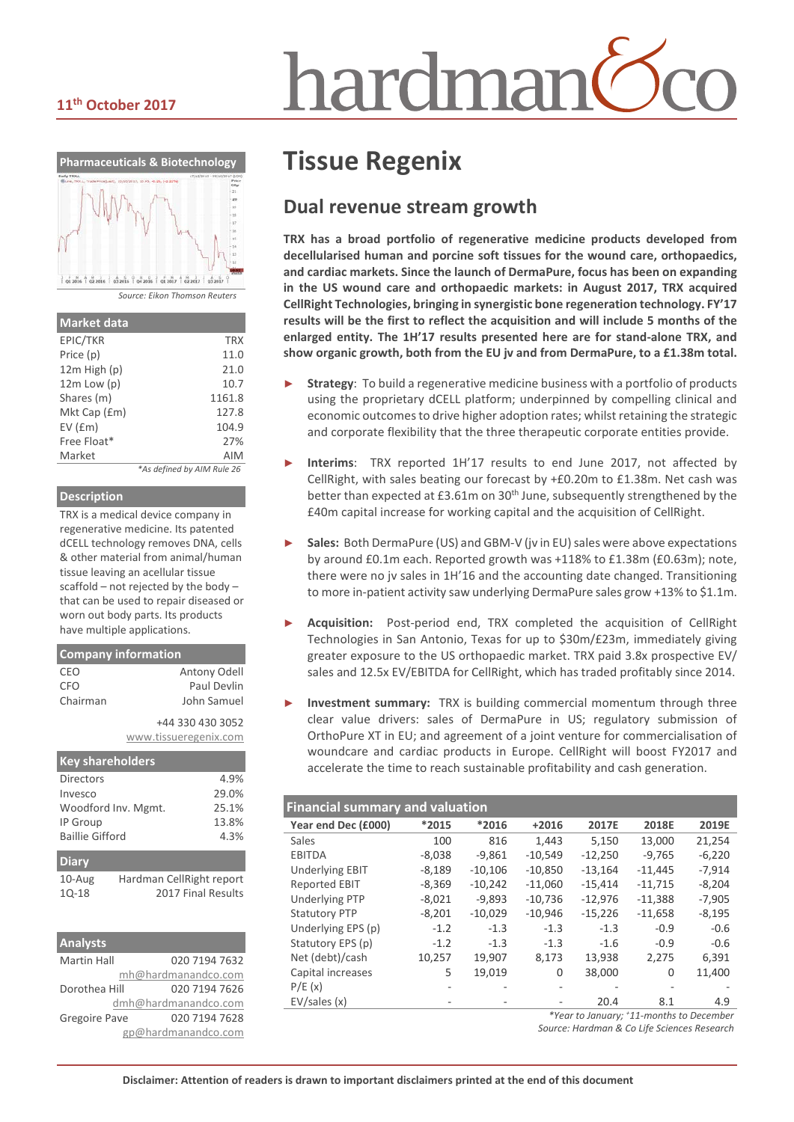# hardmar

#### **11th October 2017**



| <b>Market data</b> |                            |
|--------------------|----------------------------|
| EPIC/TKR           | <b>TRX</b>                 |
| Price (p)          | 11.0                       |
| 12m High (p)       | 21.0                       |
| $12m$ Low $(p)$    | 10.7                       |
| Shares (m)         | 1161.8                     |
| Mkt Cap (£m)       | 127.8                      |
| $EV$ ( $Em$ )      | 104.9                      |
| Free Float*        | 27%                        |
| Market             | <b>AIM</b>                 |
|                    | *As defined by AIM Rule 26 |

#### **Description**

TRX is a medical device company in regenerative medicine. Its patented dCELL technology removes DNA, cells & other material from animal/human tissue leaving an acellular tissue scaffold – not rejected by the body – that can be used to repair diseased or worn out body parts. Its products have multiple applications.

| <b>Company information</b> |                       |  |  |  |  |
|----------------------------|-----------------------|--|--|--|--|
| CEO                        | Antony Odell          |  |  |  |  |
| <b>CFO</b>                 | Paul Devlin           |  |  |  |  |
| Chairman                   | John Samuel           |  |  |  |  |
|                            | +44 330 430 3052      |  |  |  |  |
|                            | www.tissueregenix.com |  |  |  |  |
|                            |                       |  |  |  |  |

| <b>Key shareholders</b> |                          |                    |
|-------------------------|--------------------------|--------------------|
| Directors               |                          | 4.9%               |
| Invesco                 |                          | 29.0%              |
| Woodford Inv. Mgmt.     | 25.1%                    |                    |
| IP Group                | 13.8%                    |                    |
| <b>Baillie Gifford</b>  | 4.3%                     |                    |
| <b>Diary</b>            |                          |                    |
| $10$ -Aug               | Hardman CellRight report |                    |
| $10 - 18$               |                          | 2017 Final Results |

| <b>Analysts</b>      |                      |
|----------------------|----------------------|
| <b>Martin Hall</b>   | 020 7194 7632        |
|                      | mh@hardmanandco.com  |
| Dorothea Hill        | 020 7194 7626        |
|                      | dmh@hardmanandco.com |
| <b>Gregoire Pave</b> | 020 7194 7628        |
|                      | gp@hardmanandco.com  |

# **Tissue Regenix**

#### **Dual revenue stream growth**

**TRX has a broad portfolio of regenerative medicine products developed from decellularised human and porcine soft tissues for the wound care, orthopaedics, and cardiac markets. Since the launch of DermaPure, focus has been on expanding in the US wound care and orthopaedic markets: in August 2017, TRX acquired CellRight Technologies, bringing in synergistic bone regeneration technology. FY'17 results will be the first to reflect the acquisition and will include 5 months of the enlarged entity. The 1H'17 results presented here are for stand-alone TRX, and show organic growth, both from the EU jv and from DermaPure, to a £1.38m total.**

- **Strategy**: To build a regenerative medicine business with a portfolio of products using the proprietary dCELL platform; underpinned by compelling clinical and economic outcomes to drive higher adoption rates; whilst retaining the strategic and corporate flexibility that the three therapeutic corporate entities provide.
- ► **Interims**: TRX reported 1H'17 results to end June 2017, not affected by CellRight, with sales beating our forecast by +£0.20m to £1.38m. Net cash was better than expected at  $£3.61m$  on  $30<sup>th</sup>$  June, subsequently strengthened by the £40m capital increase for working capital and the acquisition of CellRight.
- Sales: Both DermaPure (US) and GBM-V (jv in EU) sales were above expectations by around £0.1m each. Reported growth was +118% to £1.38m (£0.63m); note, there were no jv sales in 1H'16 and the accounting date changed. Transitioning to more in-patient activity saw underlying DermaPure sales grow +13% to \$1.1m.
- ► **Acquisition:** Post-period end, TRX completed the acquisition of CellRight Technologies in San Antonio, Texas for up to \$30m/£23m, immediately giving greater exposure to the US orthopaedic market. TRX paid 3.8x prospective EV/ sales and 12.5x EV/EBITDA for CellRight, which has traded profitably since 2014.
- **Investment summary:** TRX is building commercial momentum through three clear value drivers: sales of DermaPure in US; regulatory submission of OrthoPure XT in EU; and agreement of a joint venture for commercialisation of woundcare and cardiac products in Europe. CellRight will boost FY2017 and accelerate the time to reach sustainable profitability and cash generation.

#### **Financial summary and valuation**

| i mancial salilinal y and valuation      |          |           |           |           |           |          |
|------------------------------------------|----------|-----------|-----------|-----------|-----------|----------|
| Year end Dec (£000)                      | *2015    | *2016     | $+2016$   | 2017E     | 2018E     | 2019E    |
| Sales                                    | 100      | 816       | 1,443     | 5,150     | 13,000    | 21,254   |
| <b>EBITDA</b>                            | $-8,038$ | $-9,861$  | $-10,549$ | $-12,250$ | $-9,765$  | $-6,220$ |
| <b>Underlying EBIT</b>                   | $-8,189$ | $-10,106$ | $-10,850$ | $-13,164$ | $-11,445$ | $-7,914$ |
| <b>Reported EBIT</b>                     | $-8,369$ | $-10,242$ | $-11,060$ | $-15.414$ | $-11,715$ | $-8,204$ |
| <b>Underlying PTP</b>                    | $-8,021$ | $-9,893$  | $-10,736$ | $-12,976$ | $-11,388$ | $-7,905$ |
| <b>Statutory PTP</b>                     | $-8,201$ | $-10,029$ | $-10,946$ | $-15,226$ | $-11,658$ | $-8,195$ |
| Underlying EPS (p)                       | $-1.2$   | $-1.3$    | $-1.3$    | $-1.3$    | $-0.9$    | $-0.6$   |
| Statutory EPS (p)                        | $-1.2$   | $-1.3$    | $-1.3$    | $-1.6$    | $-0.9$    | $-0.6$   |
| Net (debt)/cash                          | 10.257   | 19,907    | 8.173     | 13,938    | 2.275     | 6,391    |
| Capital increases                        | 5        | 19,019    | 0         | 38,000    | 0         | 11,400   |
| P/E(x)                                   |          |           |           |           |           |          |
| EV/sales(x)                              |          |           |           | 20.4      | 8.1       | 4.9      |
| *Year to January; +11-months to December |          |           |           |           |           |          |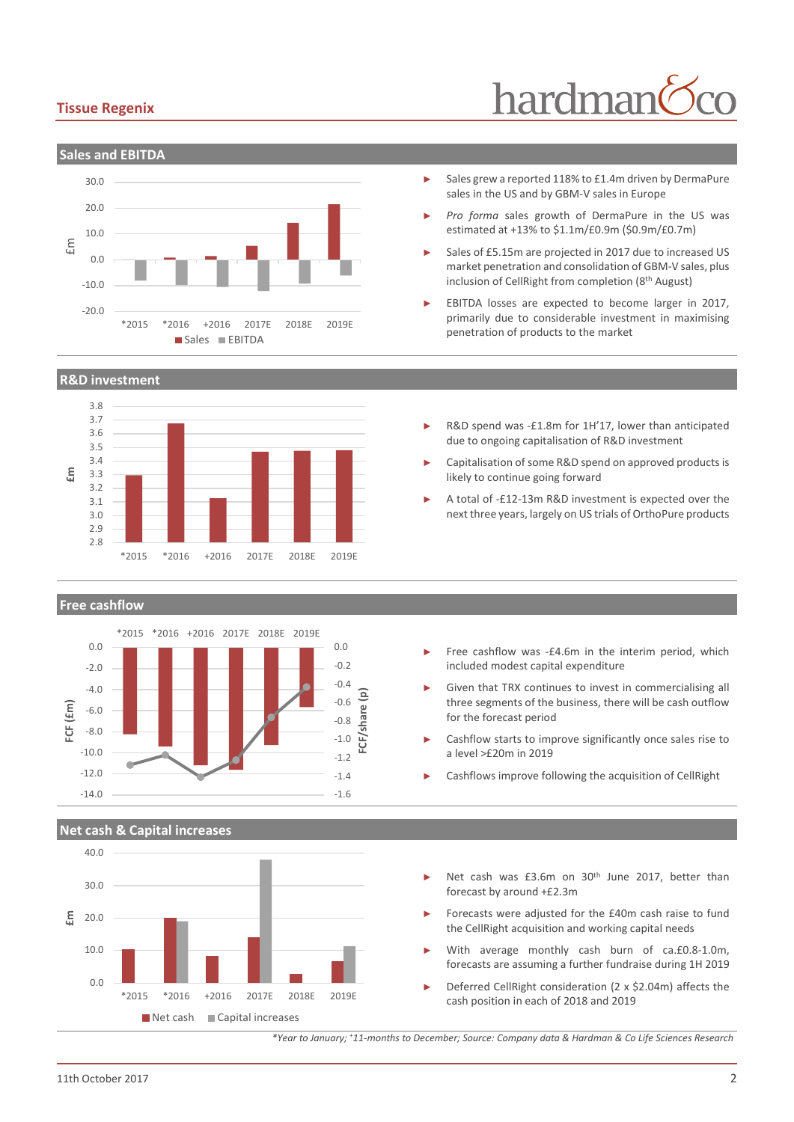#### **Tissue Regenix**



#### **R&D investment**



#### **Free cashflow**



#### **Net cash & Capital increases**



# hardman

- Sales grew a reported 118% to £1.4m driven by DermaPure sales in the US and by GBM-V sales in Europe
- Pro forma sales growth of DermaPure in the US was estimated at +13% to \$1.1m/£0.9m (\$0.9m/£0.7m)
- Sales of £5.15m are projected in 2017 due to increased US market penetration and consolidation of GBM-V sales, plus inclusion of CellRight from completion (8th August)
- EBITDA losses are expected to become larger in 2017. primarily due to considerable investment in maximising penetration of products to the market
- R&D spend was -£1.8m for 1H'17, lower than anticipated due to ongoing capitalisation of R&D investment
- ► Capitalisation of some R&D spend on approved products is likely to continue going forward
- A total of -£12-13m R&D investment is expected over the next three years, largely on US trials of OrthoPure products

- Free cashflow was -£4.6m in the interim period, which included modest capital expenditure
- Given that TRX continues to invest in commercialising all three segments of the business, there will be cash outflow for the forecast period
- Cashflow starts to improve significantly once sales rise to a level >£20m in 2019
- Cashflows improve following the acquisition of CellRight
- Net cash was £3.6m on 30<sup>th</sup> June 2017, better than forecast by around +£2.3m
- Forecasts were adjusted for the £40m cash raise to fund the CellRight acquisition and working capital needs
- With average monthly cash burn of ca.£0.8-1.0m, forecasts are assuming a further fundraise during 1H 2019
- Deferred CellRight consideration (2 x \$2.04m) affects the cash position in each of 2018 and 2019

*\*Year to January; +11-months to December; Source: Company data & Hardman & Co Life Sciences Research*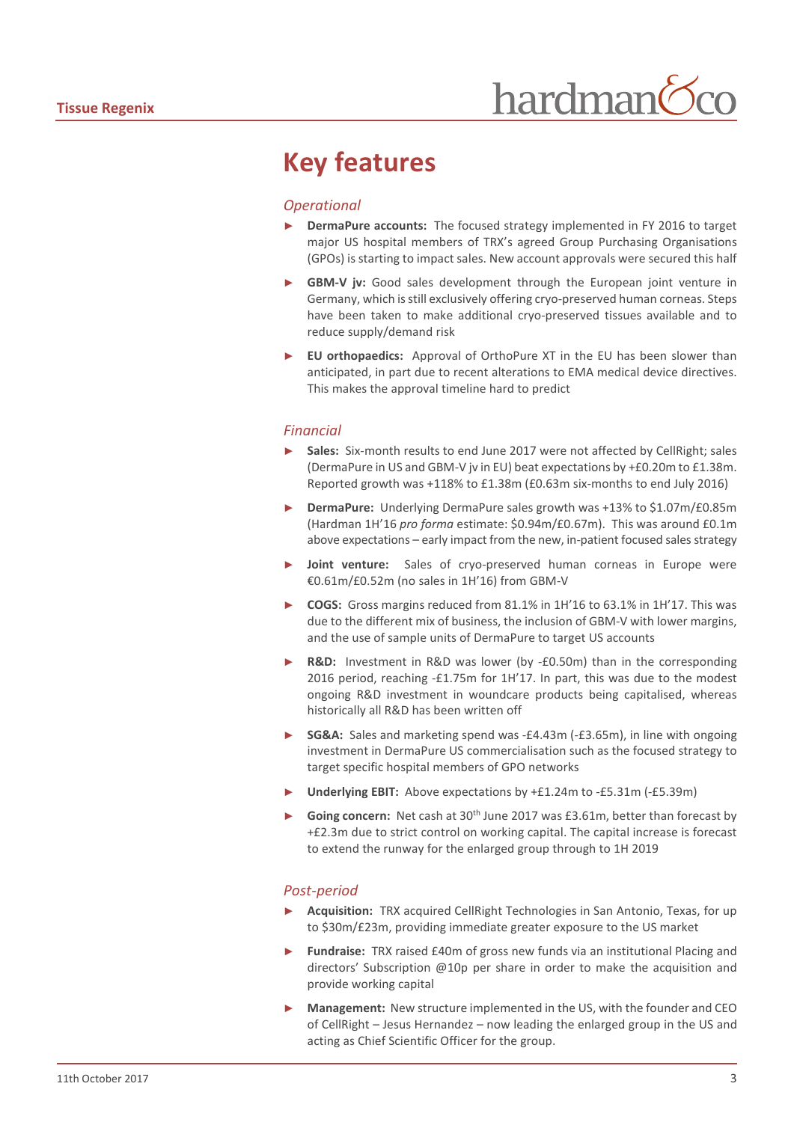### **Key features**

#### *Operational*

- **DermaPure accounts:** The focused strategy implemented in FY 2016 to target major US hospital members of TRX's agreed Group Purchasing Organisations (GPOs) is starting to impact sales. New account approvals were secured this half
- GBM-V jv: Good sales development through the European joint venture in Germany, which is still exclusively offering cryo-preserved human corneas. Steps have been taken to make additional cryo-preserved tissues available and to reduce supply/demand risk
- **EU orthopaedics:** Approval of OrthoPure XT in the EU has been slower than anticipated, in part due to recent alterations to EMA medical device directives. This makes the approval timeline hard to predict

#### *Financial*

- Sales: Six-month results to end June 2017 were not affected by CellRight; sales (DermaPure in US and GBM-V jv in EU) beat expectations by +£0.20m to £1.38m. Reported growth was +118% to £1.38m (£0.63m six-months to end July 2016)
- ► **DermaPure:** Underlying DermaPure sales growth was +13% to \$1.07m/£0.85m (Hardman 1H'16 *pro forma* estimate: \$0.94m/£0.67m). This was around £0.1m above expectations – early impact from the new, in-patient focused sales strategy
- Joint venture: Sales of cryo-preserved human corneas in Europe were €0.61m/£0.52m (no sales in 1H'16) from GBM-V
- ► **COGS:** Gross margins reduced from 81.1% in 1H'16 to 63.1% in 1H'17. This was due to the different mix of business, the inclusion of GBM-V with lower margins, and the use of sample units of DermaPure to target US accounts
- ► **R&D:** Investment in R&D was lower (by -£0.50m) than in the corresponding 2016 period, reaching -£1.75m for 1H'17. In part, this was due to the modest ongoing R&D investment in woundcare products being capitalised, whereas historically all R&D has been written off
- SG&A: Sales and marketing spend was -£4.43m (-£3.65m), in line with ongoing investment in DermaPure US commercialisation such as the focused strategy to target specific hospital members of GPO networks
- ► **Underlying EBIT:** Above expectations by +£1.24m to -£5.31m (-£5.39m)
- Going concern: Net cash at 30<sup>th</sup> June 2017 was £3.61m, better than forecast by +£2.3m due to strict control on working capital. The capital increase is forecast to extend the runway for the enlarged group through to 1H 2019

#### *Post-period*

- ► **Acquisition:** TRX acquired CellRight Technologies in San Antonio, Texas, for up to \$30m/£23m, providing immediate greater exposure to the US market
- Fundraise: TRX raised £40m of gross new funds via an institutional Placing and directors' Subscription @10p per share in order to make the acquisition and provide working capital
- **Management:** New structure implemented in the US, with the founder and CEO of CellRight – Jesus Hernandez – now leading the enlarged group in the US and acting as Chief Scientific Officer for the group.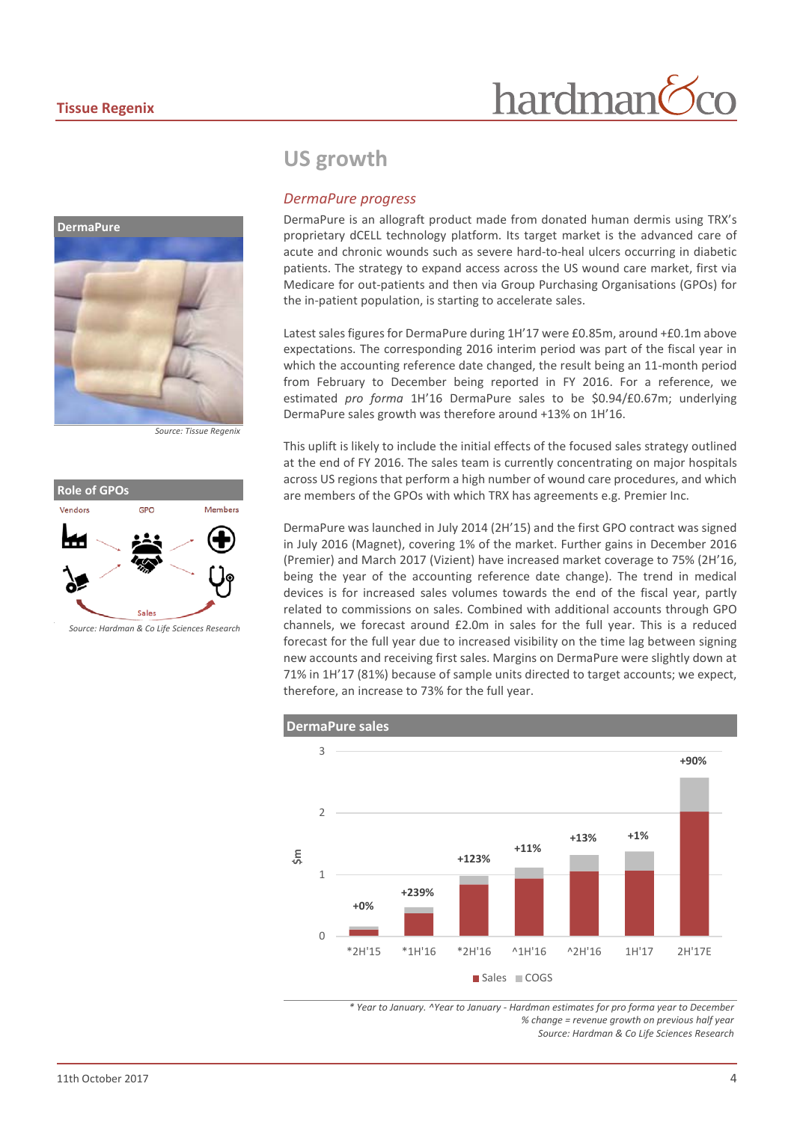

*Source: Tissue Regenix*



*Source: Hardman & Co Life Sciences Research*

#### **US growth**

#### *DermaPure progress*

DermaPure is an allograft product made from donated human dermis using TRX's proprietary dCELL technology platform. Its target market is the advanced care of acute and chronic wounds such as severe hard-to-heal ulcers occurring in diabetic patients. The strategy to expand access across the US wound care market, first via Medicare for out-patients and then via Group Purchasing Organisations (GPOs) for the in-patient population, is starting to accelerate sales.

hardman

Latest sales figures for DermaPure during 1H'17 were £0.85m, around +£0.1m above expectations. The corresponding 2016 interim period was part of the fiscal year in which the accounting reference date changed, the result being an 11-month period from February to December being reported in FY 2016. For a reference, we estimated *pro forma* 1H'16 DermaPure sales to be \$0.94/£0.67m; underlying DermaPure sales growth was therefore around +13% on 1H'16.

This uplift is likely to include the initial effects of the focused sales strategy outlined at the end of FY 2016. The sales team is currently concentrating on major hospitals across US regions that perform a high number of wound care procedures, and which are members of the GPOs with which TRX has agreements e.g. Premier Inc.

DermaPure was launched in July 2014 (2H'15) and the first GPO contract was signed in July 2016 (Magnet), covering 1% of the market. Further gains in December 2016 (Premier) and March 2017 (Vizient) have increased market coverage to 75% (2H'16, being the year of the accounting reference date change). The trend in medical devices is for increased sales volumes towards the end of the fiscal year, partly related to commissions on sales. Combined with additional accounts through GPO channels, we forecast around £2.0m in sales for the full year. This is a reduced forecast for the full year due to increased visibility on the time lag between signing new accounts and receiving first sales. Margins on DermaPure were slightly down at 71% in 1H'17 (81%) because of sample units directed to target accounts; we expect, therefore, an increase to 73% for the full year.



*\* Year to January. ^Year to January - Hardman estimates for pro forma year to December % change = revenue growth on previous half year Source: Hardman & Co Life Sciences Research*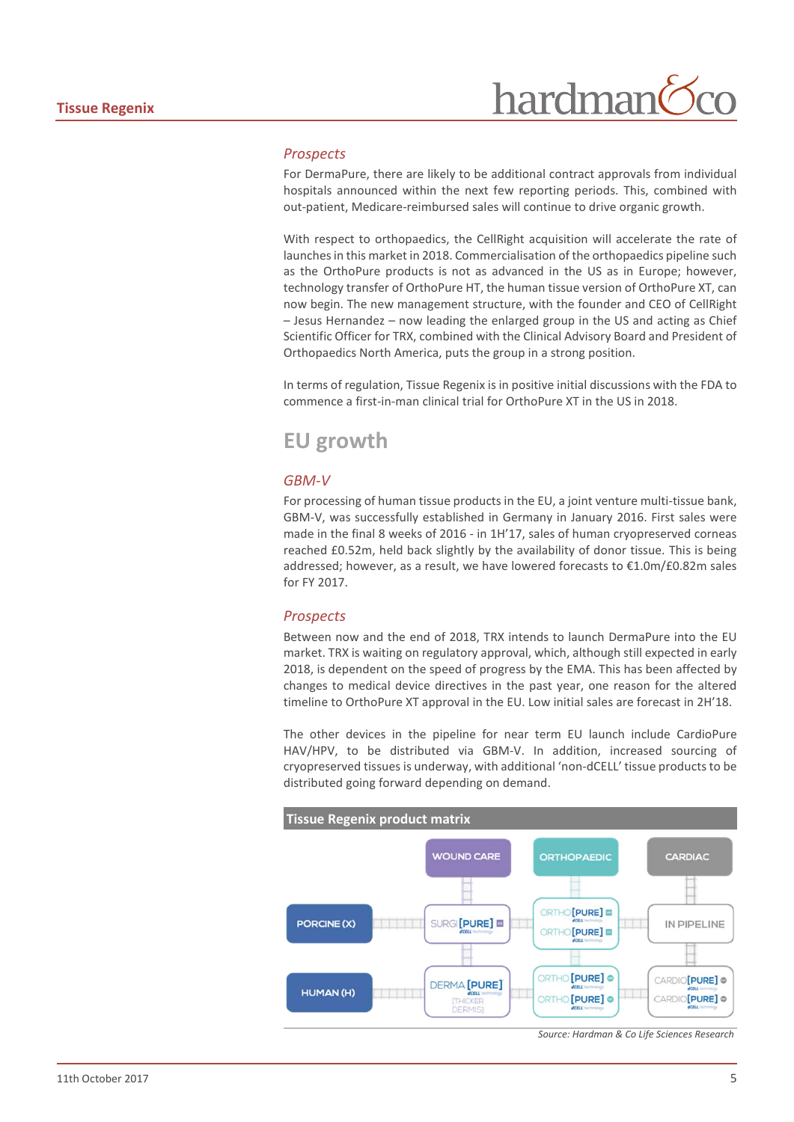#### *Prospects*

For DermaPure, there are likely to be additional contract approvals from individual hospitals announced within the next few reporting periods. This, combined with out-patient, Medicare-reimbursed sales will continue to drive organic growth.

With respect to orthopaedics, the CellRight acquisition will accelerate the rate of launches in this market in 2018. Commercialisation of the orthopaedics pipeline such as the OrthoPure products is not as advanced in the US as in Europe; however, technology transfer of OrthoPure HT, the human tissue version of OrthoPure XT, can now begin. The new management structure, with the founder and CEO of CellRight – Jesus Hernandez – now leading the enlarged group in the US and acting as Chief Scientific Officer for TRX, combined with the Clinical Advisory Board and President of Orthopaedics North America, puts the group in a strong position.

In terms of regulation, Tissue Regenix is in positive initial discussions with the FDA to commence a first-in-man clinical trial for OrthoPure XT in the US in 2018.

#### **EU growth**

#### *GBM-V*

For processing of human tissue products in the EU, a joint venture multi-tissue bank, GBM-V, was successfully established in Germany in January 2016. First sales were made in the final 8 weeks of 2016 - in 1H'17, sales of human cryopreserved corneas reached £0.52m, held back slightly by the availability of donor tissue. This is being addressed; however, as a result, we have lowered forecasts to €1.0m/£0.82m sales for FY 2017.

#### *Prospects*

Between now and the end of 2018, TRX intends to launch DermaPure into the EU market. TRX is waiting on regulatory approval, which, although still expected in early 2018, is dependent on the speed of progress by the EMA. This has been affected by changes to medical device directives in the past year, one reason for the altered timeline to OrthoPure XT approval in the EU. Low initial sales are forecast in 2H'18.

The other devices in the pipeline for near term EU launch include CardioPure HAV/HPV, to be distributed via GBM-V. In addition, increased sourcing of cryopreserved tissues is underway, with additional 'non-dCELL' tissue products to be distributed going forward depending on demand.

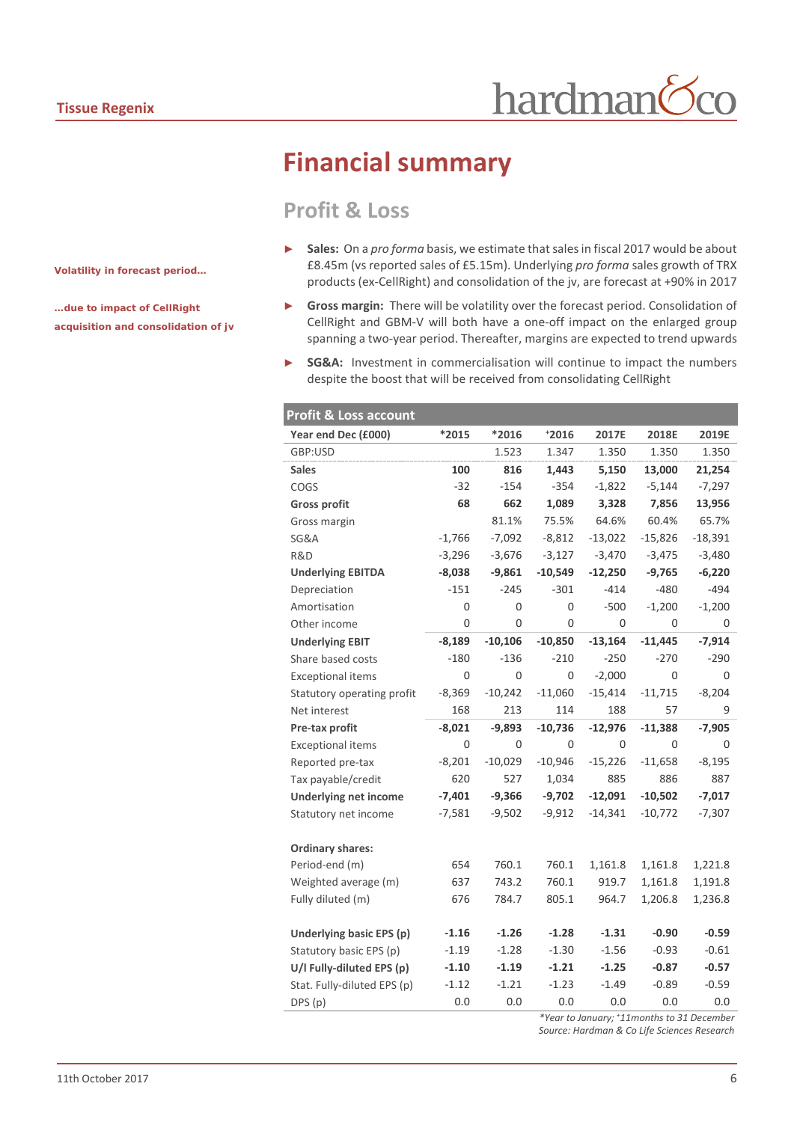# **Financial summary**

#### **Profit & Loss**

- Sales: On a *pro forma* basis, we estimate that sales in fiscal 2017 would be about £8.45m (vs reported sales of £5.15m). Underlying *pro forma* sales growth of TRX products (ex-CellRight) and consolidation of the jv, are forecast at +90% in 2017
- ► **Gross margin:** There will be volatility over the forecast period. Consolidation of CellRight and GBM-V will both have a one-off impact on the enlarged group spanning a two-year period. Thereafter, margins are expected to trend upwards
- **SG&A:** Investment in commercialisation will continue to impact the numbers despite the boost that will be received from consolidating CellRight

| Profit & Loss account        |          |           |           |           |           |           |
|------------------------------|----------|-----------|-----------|-----------|-----------|-----------|
| Year end Dec (£000)          | *2015    | *2016     | $+2016$   | 2017E     | 2018E     | 2019E     |
| GBP:USD                      |          | 1.523     | 1.347     | 1.350     | 1.350     | 1.350     |
| <b>Sales</b>                 | 100      | 816       | 1,443     | 5,150     | 13,000    | 21,254    |
| COGS                         | $-32$    | $-154$    | $-354$    | $-1,822$  | $-5,144$  | $-7,297$  |
| <b>Gross profit</b>          | 68       | 662       | 1,089     | 3,328     | 7,856     | 13,956    |
| Gross margin                 |          | 81.1%     | 75.5%     | 64.6%     | 60.4%     | 65.7%     |
| SG&A                         | $-1,766$ | $-7,092$  | $-8,812$  | $-13,022$ | $-15,826$ | $-18,391$ |
| R&D                          | $-3,296$ | $-3,676$  | $-3,127$  | $-3,470$  | $-3,475$  | $-3,480$  |
| <b>Underlying EBITDA</b>     | $-8,038$ | $-9,861$  | $-10,549$ | $-12,250$ | $-9,765$  | $-6,220$  |
| Depreciation                 | $-151$   | $-245$    | $-301$    | $-414$    | $-480$    | $-494$    |
| Amortisation                 | 0        | 0         | 0         | $-500$    | $-1,200$  | $-1,200$  |
| Other income                 | 0        | 0         | 0         | 0         | 0         | 0         |
| <b>Underlying EBIT</b>       | $-8,189$ | $-10,106$ | $-10,850$ | $-13,164$ | $-11,445$ | $-7,914$  |
| Share based costs            | $-180$   | $-136$    | $-210$    | $-250$    | $-270$    | $-290$    |
| <b>Exceptional items</b>     | 0        | 0         | 0         | $-2,000$  | 0         | 0         |
| Statutory operating profit   | $-8,369$ | $-10,242$ | $-11,060$ | $-15,414$ | $-11,715$ | $-8,204$  |
| Net interest                 | 168      | 213       | 114       | 188       | 57        | 9         |
| Pre-tax profit               | $-8,021$ | $-9,893$  | $-10,736$ | $-12,976$ | $-11,388$ | $-7,905$  |
| <b>Exceptional items</b>     | 0        | 0         | 0         | 0         | 0         | 0         |
| Reported pre-tax             | $-8,201$ | $-10,029$ | $-10,946$ | $-15,226$ | $-11,658$ | $-8,195$  |
| Tax payable/credit           | 620      | 527       | 1,034     | 885       | 886       | 887       |
| <b>Underlying net income</b> | $-7,401$ | $-9,366$  | $-9,702$  | $-12,091$ | $-10,502$ | $-7,017$  |
| Statutory net income         | $-7,581$ | $-9,502$  | $-9,912$  | $-14,341$ | $-10,772$ | $-7,307$  |
|                              |          |           |           |           |           |           |
| <b>Ordinary shares:</b>      |          |           |           |           |           |           |
| Period-end (m)               | 654      | 760.1     | 760.1     | 1,161.8   | 1,161.8   | 1,221.8   |
| Weighted average (m)         | 637      | 743.2     | 760.1     | 919.7     | 1,161.8   | 1,191.8   |
| Fully diluted (m)            | 676      | 784.7     | 805.1     | 964.7     | 1,206.8   | 1,236.8   |
|                              |          |           |           |           |           |           |
| Underlying basic EPS (p)     | $-1.16$  | $-1.26$   | $-1.28$   | $-1.31$   | $-0.90$   | $-0.59$   |
| Statutory basic EPS (p)      | $-1.19$  | $-1.28$   | $-1.30$   | $-1.56$   | $-0.93$   | $-0.61$   |
| U/I Fully-diluted EPS (p)    | $-1.10$  | $-1.19$   | $-1.21$   | $-1.25$   | $-0.87$   | $-0.57$   |
| Stat. Fully-diluted EPS (p)  | $-1.12$  | $-1.21$   | $-1.23$   | $-1.49$   | $-0.89$   | $-0.59$   |
| DPS (p)                      | 0.0      | 0.0       | 0.0       | 0.0       | 0.0       | 0.0       |

*\*Year to January; + 11months to 31 December*

*Source: Hardman & Co Life Sciences Research*

*Volatility in forecast period…*

*…due to impact of CellRight acquisition and consolidation of jv*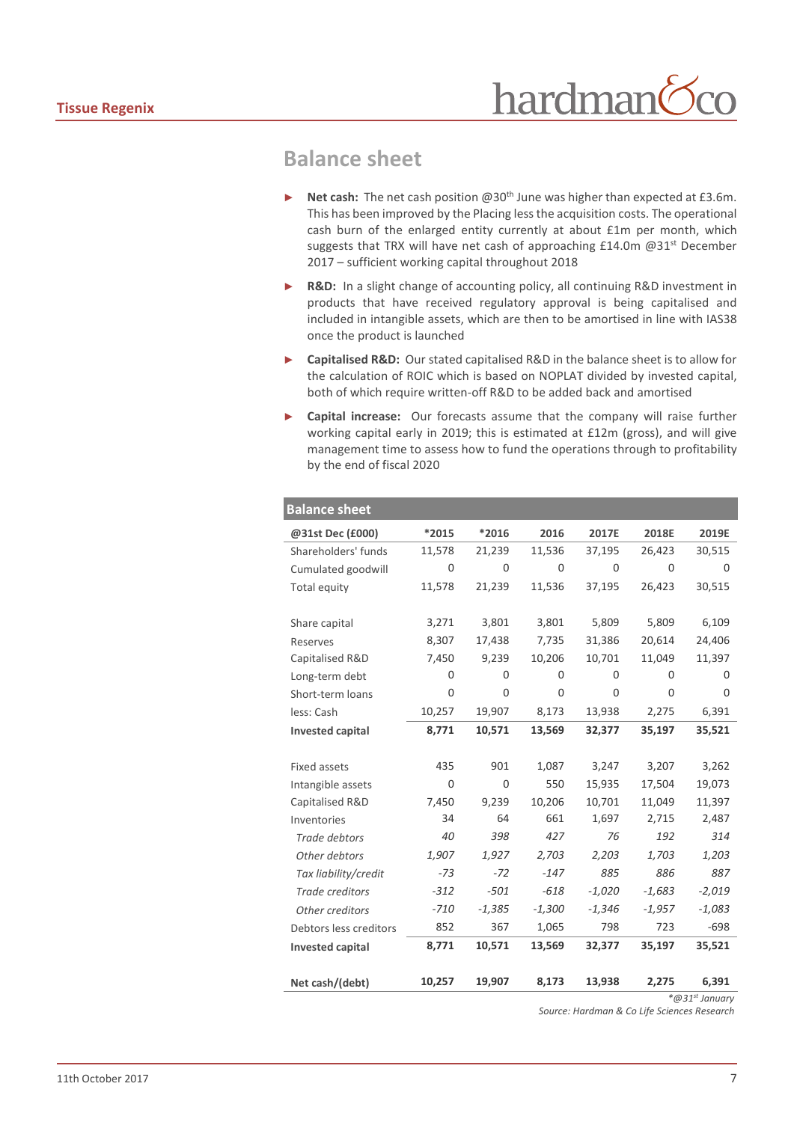#### **Balance sheet**

- **Net cash:** The net cash position @30<sup>th</sup> June was higher than expected at £3.6m. This has been improved by the Placing less the acquisition costs. The operational cash burn of the enlarged entity currently at about £1m per month, which suggests that TRX will have net cash of approaching £14.0m @31<sup>st</sup> December 2017 – sufficient working capital throughout 2018
- **R&D:** In a slight change of accounting policy, all continuing R&D investment in products that have received regulatory approval is being capitalised and included in intangible assets, which are then to be amortised in line with IAS38 once the product is launched
- ► **Capitalised R&D:** Our stated capitalised R&D in the balance sheet is to allow for the calculation of ROIC which is based on NOPLAT divided by invested capital, both of which require written-off R&D to be added back and amortised
- Capital increase: Our forecasts assume that the company will raise further working capital early in 2019; this is estimated at £12m (gross), and will give management time to assess how to fund the operations through to profitability by the end of fiscal 2020

| <b>Balance sheet</b>    |             |             |          |          |          |          |
|-------------------------|-------------|-------------|----------|----------|----------|----------|
| @31st Dec (£000)        | *2015       | *2016       | 2016     | 2017E    | 2018E    | 2019E    |
| Shareholders' funds     | 11,578      | 21,239      | 11,536   | 37,195   | 26,423   | 30,515   |
| Cumulated goodwill      | 0           | 0           | 0        | 0        | 0        | 0        |
| Total equity            | 11,578      | 21,239      | 11,536   | 37,195   | 26,423   | 30,515   |
|                         |             |             |          |          |          |          |
| Share capital           | 3,271       | 3,801       | 3,801    | 5,809    | 5,809    | 6,109    |
| Reserves                | 8,307       | 17,438      | 7,735    | 31,386   | 20,614   | 24,406   |
| Capitalised R&D         | 7,450       | 9,239       | 10,206   | 10,701   | 11,049   | 11,397   |
| Long-term debt          | $\Omega$    | $\Omega$    | $\Omega$ | $\Omega$ | 0        | 0        |
| Short-term loans        | $\Omega$    | 0           | $\Omega$ | 0        | 0        | 0        |
| less: Cash              | 10,257      | 19,907      | 8,173    | 13,938   | 2,275    | 6,391    |
| <b>Invested capital</b> | 8,771       | 10,571      | 13,569   | 32,377   | 35,197   | 35,521   |
|                         |             |             |          |          |          |          |
| <b>Fixed assets</b>     | 435         | 901         | 1,087    | 3,247    | 3,207    | 3,262    |
| Intangible assets       | $\mathbf 0$ | $\mathbf 0$ | 550      | 15,935   | 17,504   | 19,073   |
| Capitalised R&D         | 7,450       | 9,239       | 10,206   | 10,701   | 11,049   | 11,397   |
| Inventories             | 34          | 64          | 661      | 1,697    | 2,715    | 2,487    |
| Trade debtors           | 40          | 398         | 427      | 76       | 192      | 314      |
| Other debtors           | 1,907       | 1,927       | 2,703    | 2,203    | 1,703    | 1,203    |
| Tax liability/credit    | $-73$       | $-72$       | $-147$   | 885      | 886      | 887      |
| <b>Trade creditors</b>  | $-312$      | $-501$      | $-618$   | $-1,020$ | $-1,683$ | $-2,019$ |
| Other creditors         | $-710$      | $-1,385$    | $-1,300$ | $-1,346$ | $-1,957$ | $-1,083$ |
| Debtors less creditors  | 852         | 367         | 1,065    | 798      | 723      | $-698$   |
| <b>Invested capital</b> | 8,771       | 10,571      | 13,569   | 32,377   | 35,197   | 35,521   |
|                         |             |             |          |          |          |          |
| Net cash/(debt)         | 10,257      | 19,907      | 8,173    | 13,938   | 2,275    | 6,391    |

*\*@31st January*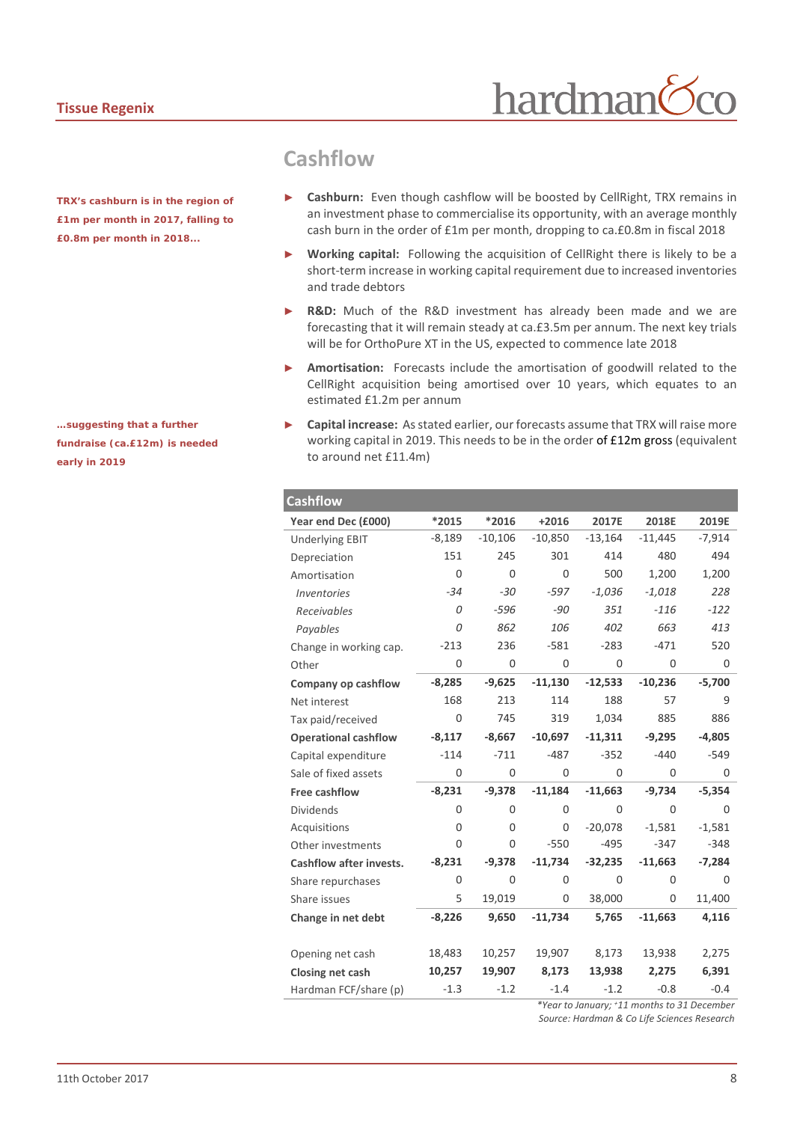*TRX's cashburn is in the region of £1m per month in 2017, falling to £0.8m per month in 2018...*

*…suggesting that a further fundraise (ca.£12m) is needed early in 2019*

#### **Cashflow**

**Cashburn:** Even though cashflow will be boosted by CellRight, TRX remains in an investment phase to commercialise its opportunity, with an average monthly cash burn in the order of £1m per month, dropping to ca.£0.8m in fiscal 2018

hardman

- Working capital: Following the acquisition of CellRight there is likely to be a short-term increase in working capital requirement due to increased inventories and trade debtors
- **R&D:** Much of the R&D investment has already been made and we are forecasting that it will remain steady at ca.£3.5m per annum. The next key trials will be for OrthoPure XT in the US, expected to commence late 2018
- ► **Amortisation:** Forecasts include the amortisation of goodwill related to the CellRight acquisition being amortised over 10 years, which equates to an estimated £1.2m per annum
- ► **Capital increase:** As stated earlier, our forecasts assume that TRX will raise more working capital in 2019. This needs to be in the order of £12m gross (equivalent to around net £11.4m)

| <b>Cashflow</b>                  |          |           |             |             |             |          |
|----------------------------------|----------|-----------|-------------|-------------|-------------|----------|
| Year end Dec (£000)              | $*2015$  | *2016     | $+2016$     | 2017E       | 2018E       | 2019E    |
| <b>Underlying EBIT</b>           | $-8,189$ | $-10,106$ | $-10,850$   | $-13,164$   | $-11,445$   | $-7,914$ |
| Depreciation                     | 151      | 245       | 301         | 414         | 480         | 494      |
| Amortisation                     | 0        | $\Omega$  | $\mathbf 0$ | 500         | 1,200       | 1,200    |
| <i><u><b>Inventories</b></u></i> | $-34$    | $-30$     | $-597$      | $-1,036$    | $-1,018$    | 228      |
| Receivables                      | 0        | $-596$    | $-90$       | 351         | $-116$      | $-122$   |
| Payables                         | 0        | 862       | 106         | 402         | 663         | 413      |
| Change in working cap.           | $-213$   | 236       | $-581$      | $-283$      | $-471$      | 520      |
| Other                            | 0        | 0         | $\mathbf 0$ | $\mathbf 0$ | $\mathbf 0$ | 0        |
| Company op cashflow              | $-8,285$ | $-9,625$  | $-11,130$   | $-12,533$   | $-10,236$   | $-5,700$ |
| Net interest                     | 168      | 213       | 114         | 188         | 57          | 9        |
| Tax paid/received                | 0        | 745       | 319         | 1,034       | 885         | 886      |
| <b>Operational cashflow</b>      | $-8,117$ | $-8,667$  | $-10,697$   | $-11,311$   | $-9,295$    | $-4,805$ |
| Capital expenditure              | $-114$   | $-711$    | $-487$      | $-352$      | $-440$      | $-549$   |
| Sale of fixed assets             | 0        | 0         | $\mathbf 0$ | 0           | 0           | 0        |
| Free cashflow                    | $-8,231$ | $-9,378$  | $-11,184$   | $-11,663$   | $-9,734$    | $-5,354$ |
| <b>Dividends</b>                 | 0        | 0         | $\mathbf 0$ | 0           | $\mathbf 0$ | 0        |
| Acquisitions                     | 0        | 0         | 0           | $-20,078$   | $-1.581$    | $-1.581$ |
| Other investments                | 0        | 0         | $-550$      | $-495$      | $-347$      | $-348$   |
| <b>Cashflow after invests.</b>   | $-8,231$ | $-9,378$  | $-11,734$   | $-32,235$   | $-11,663$   | $-7,284$ |
| Share repurchases                | 0        | 0         | 0           | 0           | 0           | 0        |
| Share issues                     | 5        | 19,019    | 0           | 38,000      | $\mathbf 0$ | 11,400   |
| Change in net debt               | $-8,226$ | 9,650     | $-11,734$   | 5,765       | $-11,663$   | 4,116    |
|                                  |          |           |             |             |             |          |
| Opening net cash                 | 18,483   | 10,257    | 19,907      | 8,173       | 13,938      | 2,275    |
| Closing net cash                 | 10,257   | 19,907    | 8,173       | 13,938      | 2,275       | 6,391    |
| Hardman FCF/share (p)            | $-1.3$   | $-1.2$    | $-1.4$      | $-1.2$      | $-0.8$      | $-0.4$   |

*\*Year to January; +11 months to 31 December Source: Hardman & Co Life Sciences Research*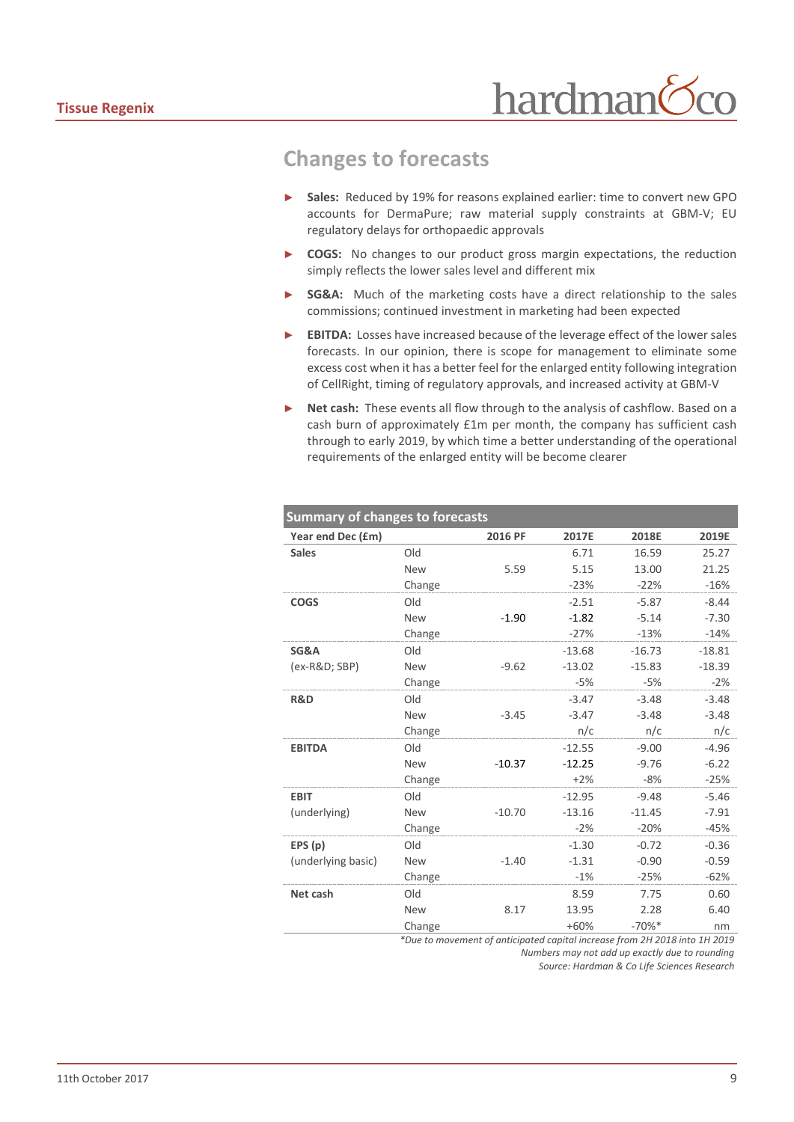### **Changes to forecasts**

- Sales: Reduced by 19% for reasons explained earlier: time to convert new GPO accounts for DermaPure; raw material supply constraints at GBM-V; EU regulatory delays for orthopaedic approvals
- ► **COGS:** No changes to our product gross margin expectations, the reduction simply reflects the lower sales level and different mix
- **SG&A:** Much of the marketing costs have a direct relationship to the sales commissions; continued investment in marketing had been expected
- **EBITDA:** Losses have increased because of the leverage effect of the lower sales forecasts. In our opinion, there is scope for management to eliminate some excess cost when it has a better feel for the enlarged entity following integration of CellRight, timing of regulatory approvals, and increased activity at GBM-V
- Net cash: These events all flow through to the analysis of cashflow. Based on a cash burn of approximately £1m per month, the company has sufficient cash through to early 2019, by which time a better understanding of the operational requirements of the enlarged entity will be become clearer

| <b>Summary of changes to forecasts</b> |            |          |          |          |          |  |  |
|----------------------------------------|------------|----------|----------|----------|----------|--|--|
| Year end Dec (£m)                      |            | 2016 PF  | 2017E    | 2018E    | 2019E    |  |  |
| <b>Sales</b>                           | Old        |          | 6.71     | 16.59    | 25.27    |  |  |
|                                        | <b>New</b> | 5.59     | 5.15     | 13.00    | 21.25    |  |  |
|                                        | Change     |          | $-23%$   | $-22%$   | $-16%$   |  |  |
| <b>COGS</b>                            | Old        |          | $-2.51$  | $-5.87$  | $-8.44$  |  |  |
|                                        | <b>New</b> | $-1.90$  | $-1.82$  | $-5.14$  | $-7.30$  |  |  |
|                                        | Change     |          | $-27%$   | $-13%$   | $-14%$   |  |  |
| SG&A                                   | Old        |          | $-13.68$ | $-16.73$ | $-18.81$ |  |  |
| (ex-R&D SBP)                           | <b>New</b> | $-9.62$  | $-13.02$ | $-15.83$ | $-18.39$ |  |  |
|                                        | Change     |          | $-5%$    | $-5%$    | $-2%$    |  |  |
| R&D                                    | Old        |          | $-3.47$  | $-3.48$  | $-3.48$  |  |  |
|                                        | <b>New</b> | $-3.45$  | $-3.47$  | $-3.48$  | $-3.48$  |  |  |
|                                        | Change     |          | n/c      | n/c      | n/c      |  |  |
| <b>EBITDA</b>                          | Old        |          | $-12.55$ | $-9.00$  | $-4.96$  |  |  |
|                                        | <b>New</b> | $-10.37$ | $-12.25$ | $-9.76$  | $-6.22$  |  |  |
|                                        | Change     |          | $+2%$    | $-8%$    | $-25%$   |  |  |
| <b>EBIT</b>                            | Old        |          | $-12.95$ | $-9.48$  | $-5.46$  |  |  |
| (underlying)                           | New        | $-10.70$ | $-13.16$ | $-11.45$ | $-7.91$  |  |  |
|                                        | Change     |          | $-2%$    | $-20%$   | $-45%$   |  |  |
| EPS(p)                                 | Old        |          | $-1.30$  | $-0.72$  | $-0.36$  |  |  |
| (underlying basic)                     | New        | $-1.40$  | $-1.31$  | $-0.90$  | $-0.59$  |  |  |
|                                        | Change     |          | $-1%$    | $-25%$   | $-62%$   |  |  |
| Net cash                               | Old        |          | 8.59     | 7.75     | 0.60     |  |  |
|                                        | New        | 8.17     | 13.95    | 2.28     | 6.40     |  |  |
|                                        | Change     |          | $+60%$   | $-70%$ * | nm       |  |  |

*\*Due to movement of anticipated capital increase from 2H 2018 into 1H 2019 Numbers may not add up exactly due to rounding*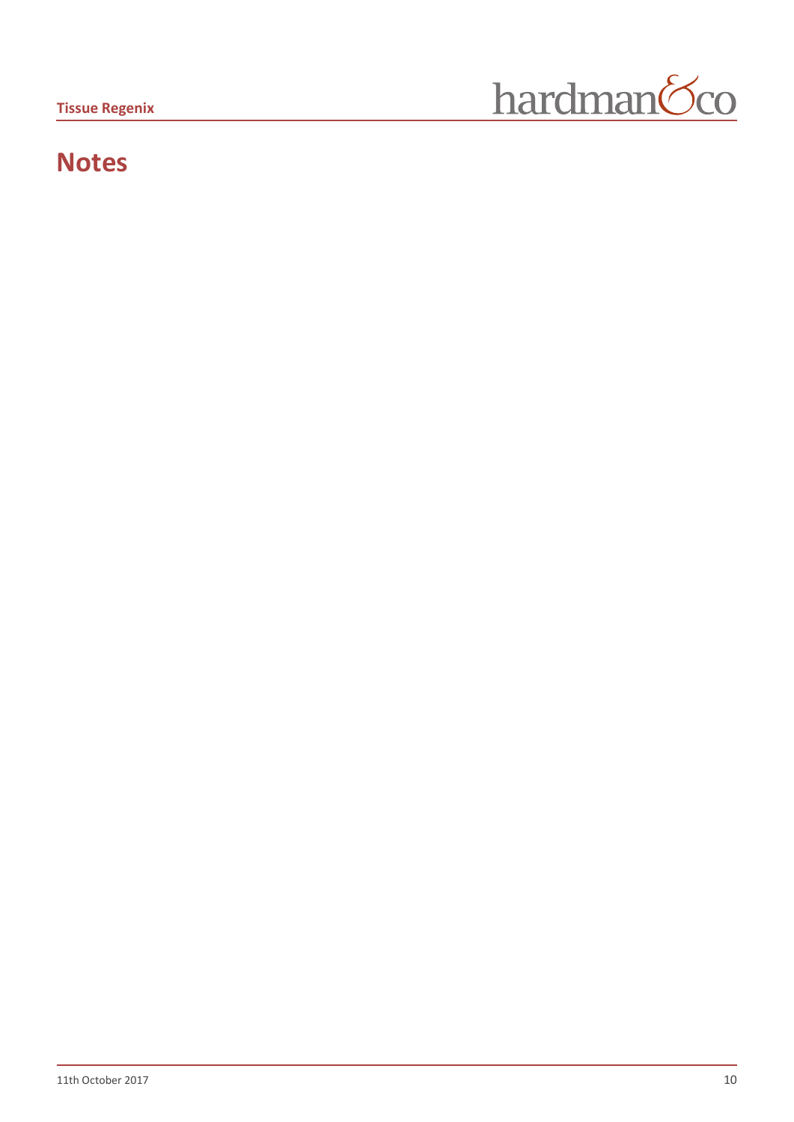

# **Notes**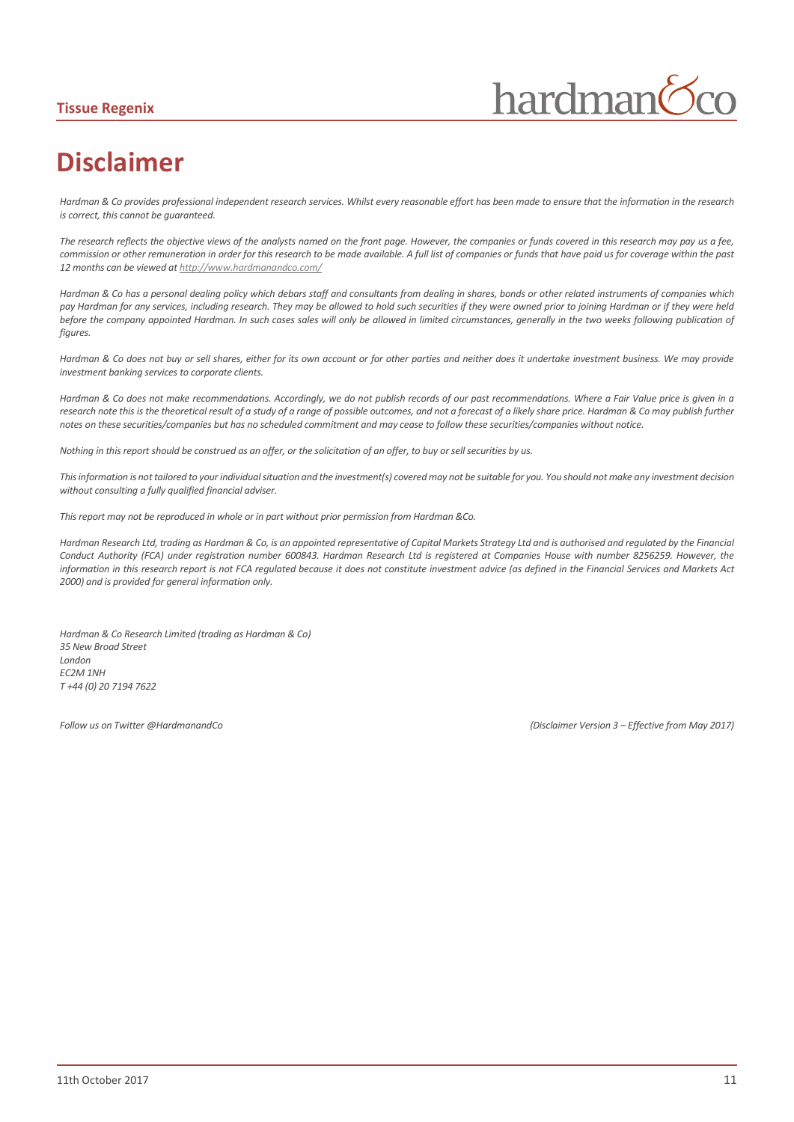#### **Tissue Regenix**



# **Disclaimer**

*Hardman & Co provides professional independent research services. Whilst every reasonable effort has been made to ensure that the information in the research is correct, this cannot be guaranteed.*

*The research reflects the objective views of the analysts named on the front page. However, the companies or funds covered in this research may pay us a fee, commission or other remuneration in order for this research to be made available. A full list of companies or funds that have paid us for coverage within the past 12 months can be viewed a[t http://www.hardmanandco.com/](http://www.hardmanandco.com/)*

*Hardman & Co has a personal dealing policy which debars staff and consultants from dealing in shares, bonds or other related instruments of companies which pay Hardman for any services, including research. They may be allowed to hold such securities if they were owned prior to joining Hardman or if they were held before the company appointed Hardman. In such cases sales will only be allowed in limited circumstances, generally in the two weeks following publication of figures.* 

*Hardman & Co does not buy or sell shares, either for its own account or for other parties and neither does it undertake investment business. We may provide investment banking services to corporate clients.* 

*Hardman & Co does not make recommendations. Accordingly, we do not publish records of our past recommendations. Where a Fair Value price is given in a*  research note this is the theoretical result of a study of a range of possible outcomes, and not a forecast of a likely share price. Hardman & Co may publish further *notes on these securities/companies but has no scheduled commitment and may cease to follow these securities/companies without notice.*

*Nothing in this report should be construed as an offer, or the solicitation of an offer, to buy or sell securities by us.*

*This information is not tailored to your individual situation and the investment(s) covered may not be suitable for you. You should not make any investment decision without consulting a fully qualified financial adviser.*

*This report may not be reproduced in whole or in part without prior permission from Hardman &Co.*

*Hardman Research Ltd, trading as Hardman & Co, is an appointed representative of Capital Markets Strategy Ltd and is authorised and regulated by the Financial Conduct Authority (FCA) under registration number 600843. Hardman Research Ltd is registered at Companies House with number 8256259. However, the information in this research report is not FCA regulated because it does not constitute investment advice (as defined in the Financial Services and Markets Act 2000) and is provided for general information only.*

*Hardman & Co Research Limited (trading as Hardman & Co) 35 New Broad Street London EC2M 1NH T +44 (0) 20 7194 7622*

*Follow us on Twitter @HardmanandCo (Disclaimer Version 3 – Effective from May 2017)*